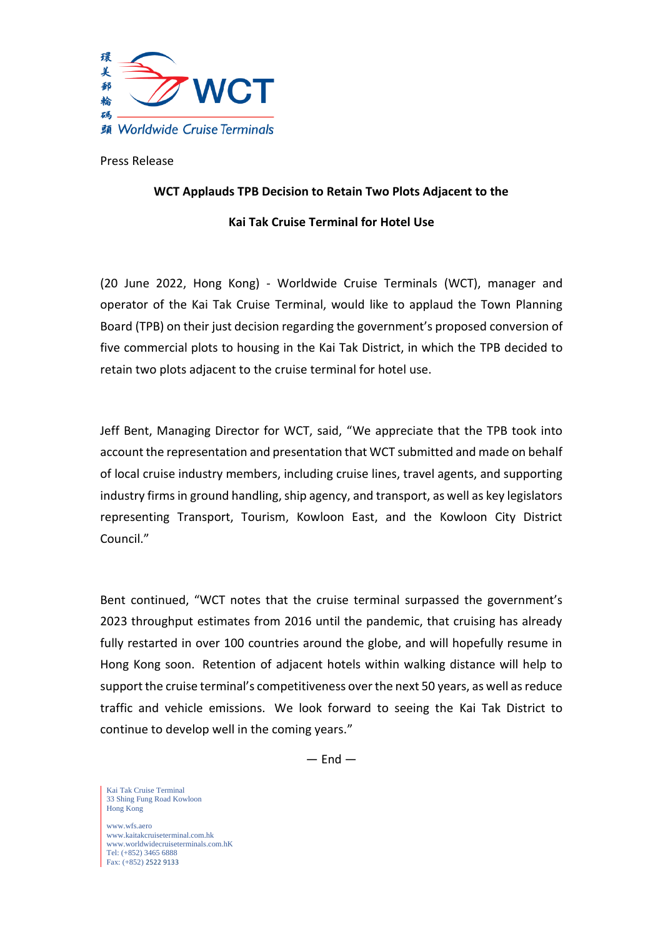

Press Release

## **WCT Applauds TPB Decision to Retain Two Plots Adjacent to the**

## **Kai Tak Cruise Terminal for Hotel Use**

(20 June 2022, Hong Kong) - Worldwide Cruise Terminals (WCT), manager and operator of the Kai Tak Cruise Terminal, would like to applaud the Town Planning Board (TPB) on their just decision regarding the government's proposed conversion of five commercial plots to housing in the Kai Tak District, in which the TPB decided to retain two plots adjacent to the cruise terminal for hotel use.

Jeff Bent, Managing Director for WCT, said, "We appreciate that the TPB took into account the representation and presentation that WCT submitted and made on behalf of local cruise industry members, including cruise lines, travel agents, and supporting industry firms in ground handling, ship agency, and transport, as well as key legislators representing Transport, Tourism, Kowloon East, and the Kowloon City District Council."

Bent continued, "WCT notes that the cruise terminal surpassed the government's 2023 throughput estimates from 2016 until the pandemic, that cruising has already fully restarted in over 100 countries around the globe, and will hopefully resume in Hong Kong soon. Retention of adjacent hotels within walking distance will help to support the cruise terminal's competitiveness over the next 50 years, as well as reduce traffic and vehicle emissions. We look forward to seeing the Kai Tak District to continue to develop well in the coming years."

 $-$  End  $-$ 

Kai Tak Cruise Terminal 33 Shing Fung Road Kowloon Hong Kong

www.wfs.aero [www.kaitakcruiseterminal.com.hk](http://www.kaitakcruiseterminal.com.hk/) [www.worldwidecruiseterminals.com.hK](http://www.worldwidecruiseterminals.com.hk/) Tel: (+852) 3465 6888 Fax: (+852) 2522 9133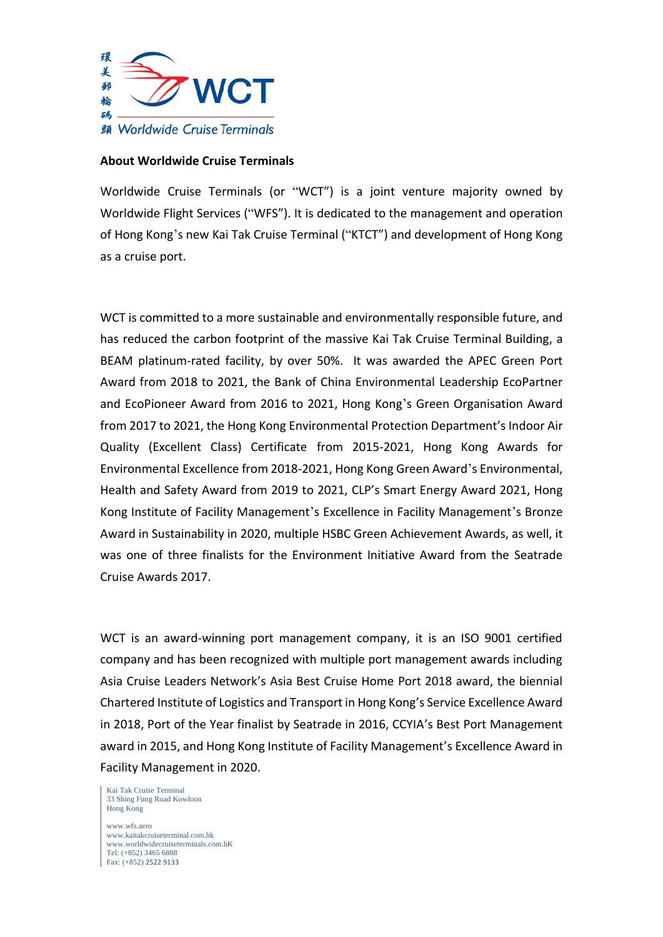

## **About Worldwide Cruise Terminals**

Worldwide Cruise Terminals (or "WCT") is a joint venture majority owned by Worldwide Flight Services ("WFS"). It is dedicated to the management and operation of Hong Kong's new Kai Tak Cruise Terminal ("KTCT") and development of Hong Kong as a cruise port.

WCT is committed to a more sustainable and environmentally responsible future, and has reduced the carbon footprint of the massive Kai Tak Cruise Terminal Building, a BEAM platinum-rated facility, by over 50%. It was awarded the APEC Green Port Award from 2018 to 2021, the Bank of China Environmental Leadership EcoPartner and EcoPioneer Award from 2016 to 2021, Hong Kong's Green Organisation Award from 2017 to 2021, the Hong Kong Environmental Protection Department's Indoor Air Quality (Excellent Class) Certificate from 2015-2021, Hong Kong Awards for Environmental Excellence from 2018-2021, Hong Kong Green Award's Environmental, Health and Safety Award from 2019 to 2021, CLP's Smart Energy Award 2021, Hong Kong Institute of Facility Management's Excellence in Facility Management's Bronze Award in Sustainability in 2020, multiple HSBC Green Achievement Awards, as well, it was one of three finalists for the Environment Initiative Award from the Seatrade Cruise Awards 2017.

WCT is an award-winning port management company, it is an ISO 9001 certified company and has been recognized with multiple port management awards including Asia Cruise Leaders Network's Asia Best Cruise Home Port 2018 award, the biennial Chartered Institute of Logistics and Transport in Hong Kong's Service Excellence Award in 2018, Port of the Year finalist by Seatrade in 2016, CCYIA's Best Port Management award in 2015, and Hong Kong Institute of Facility Management's Excellence Award in Facility Management in 2020.

Kai Tak Cruise Terminal 33 Shing Fung Road Kowloon Hong Kong

www.wfs.aero [www.kaitakcruiseterminal.com.hk](http://www.kaitakcruiseterminal.com.hk/) [www.worldwidecruiseterminals.com.hK](http://www.worldwidecruiseterminals.com.hk/) Tel: (+852) 3465 6888 Fax: (+852) 2522 9133